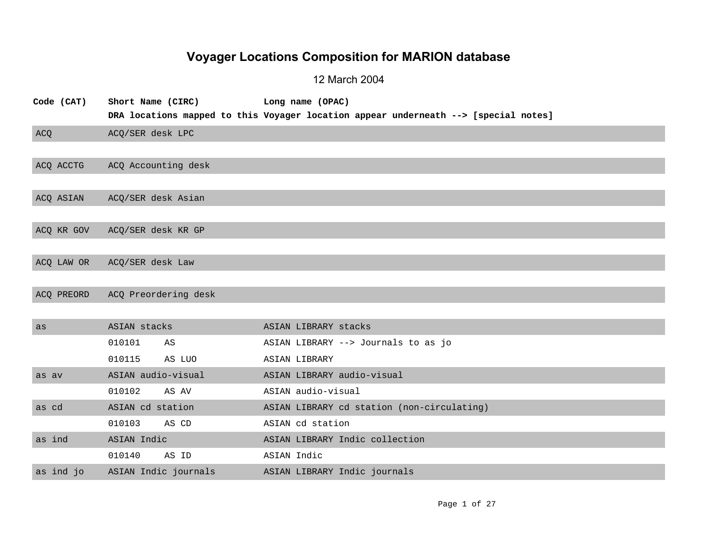## **Voyager Locations Composition for MARION database**

## 12 March 2004

| Code (CAT) | Short Name (CIRC)    | Long name (OPAC)                                                                    |
|------------|----------------------|-------------------------------------------------------------------------------------|
|            |                      | DRA locations mapped to this Voyager location appear underneath --> [special notes] |
| ACQ        | ACQ/SER desk LPC     |                                                                                     |
|            |                      |                                                                                     |
| ACQ ACCTG  | ACQ Accounting desk  |                                                                                     |
|            |                      |                                                                                     |
| ACO ASIAN  | ACQ/SER desk Asian   |                                                                                     |
|            |                      |                                                                                     |
| ACQ KR GOV | ACQ/SER desk KR GP   |                                                                                     |
|            |                      |                                                                                     |
| ACQ LAW OR | ACQ/SER desk Law     |                                                                                     |
|            |                      |                                                                                     |
| ACQ PREORD | ACQ Preordering desk |                                                                                     |
|            |                      |                                                                                     |
| as         | ASIAN stacks         | ASIAN LIBRARY stacks                                                                |
|            | 010101<br>AS         | ASIAN LIBRARY --> Journals to as jo                                                 |
|            | 010115<br>AS LUO     | ASIAN LIBRARY                                                                       |
| as av      | ASIAN audio-visual   | ASIAN LIBRARY audio-visual                                                          |
|            | 010102<br>AS AV      | ASIAN audio-visual                                                                  |
| as cd      | ASIAN cd station     | ASIAN LIBRARY cd station (non-circulating)                                          |
|            | 010103<br>AS CD      | ASIAN cd station                                                                    |
| as ind     | ASIAN Indic          | ASIAN LIBRARY Indic collection                                                      |
|            | 010140<br>AS ID      | ASIAN Indic                                                                         |
| as ind jo  | ASIAN Indic journals | ASIAN LIBRARY Indic journals                                                        |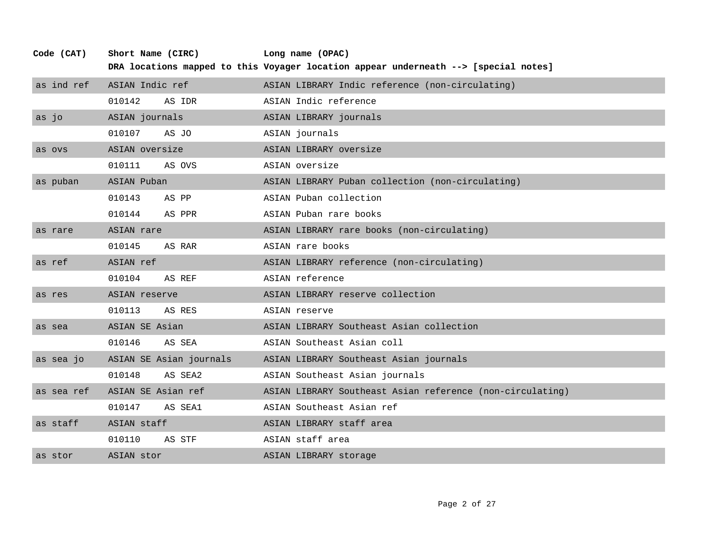| Code (CAT) | Short Name (CIRC)  |                         | Long name (OPAC)                                                                    |
|------------|--------------------|-------------------------|-------------------------------------------------------------------------------------|
|            |                    |                         | DRA locations mapped to this Voyager location appear underneath --> [special notes] |
| as ind ref | ASIAN Indic ref    |                         | ASIAN LIBRARY Indic reference (non-circulating)                                     |
|            | 010142             | AS IDR                  | ASIAN Indic reference                                                               |
| as jo      | ASIAN journals     |                         | ASIAN LIBRARY journals                                                              |
|            | 010107             | AS JO                   | ASIAN journals                                                                      |
| as ovs     | ASIAN oversize     |                         | ASIAN LIBRARY oversize                                                              |
|            | 010111             | AS OVS                  | ASIAN oversize                                                                      |
| as puban   | ASIAN Puban        |                         | ASIAN LIBRARY Puban collection (non-circulating)                                    |
|            | 010143             | AS PP                   | ASIAN Puban collection                                                              |
|            | 010144             | AS PPR                  | ASIAN Puban rare books                                                              |
| as rare    | ASIAN rare         |                         | ASIAN LIBRARY rare books (non-circulating)                                          |
|            | 010145             | AS RAR                  | ASIAN rare books                                                                    |
| as ref     | ASIAN ref          |                         | ASIAN LIBRARY reference (non-circulating)                                           |
|            | 010104             | AS REF                  | ASIAN reference                                                                     |
| as res     | ASIAN reserve      |                         | ASIAN LIBRARY reserve collection                                                    |
|            | 010113             | AS RES                  | ASIAN reserve                                                                       |
| as sea     | ASIAN SE Asian     |                         | ASIAN LIBRARY Southeast Asian collection                                            |
|            | 010146             | AS SEA                  | ASIAN Southeast Asian coll                                                          |
| as sea jo  |                    | ASIAN SE Asian journals | ASIAN LIBRARY Southeast Asian journals                                              |
|            | 010148             | AS SEA2                 | ASIAN Southeast Asian journals                                                      |
| as sea ref | ASIAN SE Asian ref |                         | ASIAN LIBRARY Southeast Asian reference (non-circulating)                           |
|            | 010147             | AS SEA1                 | ASIAN Southeast Asian ref                                                           |
| as staff   | ASIAN staff        |                         | ASIAN LIBRARY staff area                                                            |
|            | 010110             | AS STF                  | ASIAN staff area                                                                    |
| as stor    | ASIAN stor         |                         | ASIAN LIBRARY storage                                                               |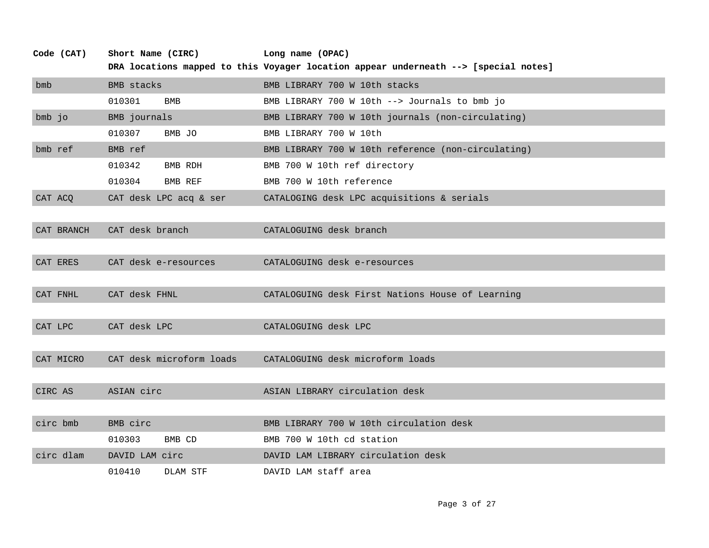| Code (CAT) | Short Name (CIRC)        | Long name (OPAC)                                                                    |
|------------|--------------------------|-------------------------------------------------------------------------------------|
|            |                          | DRA locations mapped to this Voyager location appear underneath --> [special notes] |
| bmb        | <b>BMB</b> stacks        | BMB LIBRARY 700 W 10th stacks                                                       |
|            | 010301<br><b>BMB</b>     | BMB LIBRARY 700 W 10th $--$ Journals to bmb jo                                      |
| bmb jo     | BMB journals             | BMB LIBRARY 700 W 10th journals (non-circulating)                                   |
|            | 010307<br>BMB JO         | BMB LIBRARY 700 W 10th                                                              |
| bmb ref    | BMB ref                  | BMB LIBRARY 700 W 10th reference (non-circulating)                                  |
|            | 010342<br>BMB RDH        | BMB 700 W 10th ref directory                                                        |
|            | 010304<br>BMB REF        | BMB 700 W 10th reference                                                            |
| CAT ACQ    | CAT desk LPC acq & ser   | CATALOGING desk LPC acquisitions & serials                                          |
|            |                          |                                                                                     |
| CAT BRANCH | CAT desk branch          | CATALOGUING desk branch                                                             |
|            |                          |                                                                                     |
| CAT ERES   | CAT desk e-resources     | CATALOGUING desk e-resources                                                        |
|            |                          |                                                                                     |
| CAT FNHL   | CAT desk FHNL            | CATALOGUING desk First Nations House of Learning                                    |
|            |                          |                                                                                     |
| CAT LPC    | CAT desk LPC             | CATALOGUING desk LPC                                                                |
|            |                          |                                                                                     |
| CAT MICRO  | CAT desk microform loads | CATALOGUING desk microform loads                                                    |
|            |                          |                                                                                     |
| CIRC AS    | ASIAN circ               | ASIAN LIBRARY circulation desk                                                      |
|            |                          |                                                                                     |
| circ bmb   | BMB circ                 | BMB LIBRARY 700 W 10th circulation desk                                             |
|            | 010303<br>BMB CD         | BMB 700 W 10th cd station                                                           |
| circ dlam  | DAVID LAM circ           | DAVID LAM LIBRARY circulation desk                                                  |
|            | 010410<br>DLAM STF       | DAVID LAM staff area                                                                |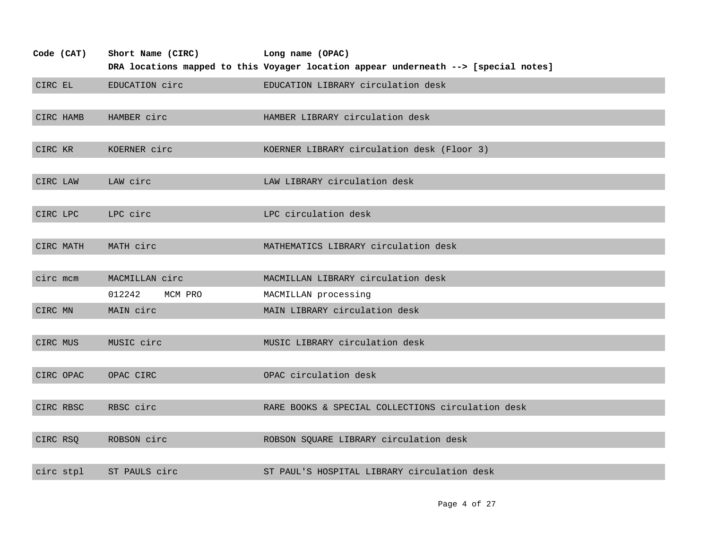| Code (CAT) | Short Name (CIRC) | Long name (OPAC)                                                                    |
|------------|-------------------|-------------------------------------------------------------------------------------|
|            |                   | DRA locations mapped to this Voyager location appear underneath --> [special notes] |
| CIRC EL    | EDUCATION circ    | EDUCATION LIBRARY circulation desk                                                  |
|            |                   |                                                                                     |
| CIRC HAMB  | HAMBER circ       | HAMBER LIBRARY circulation desk                                                     |
|            |                   |                                                                                     |
| CIRC KR    | KOERNER circ      | KOERNER LIBRARY circulation desk (Floor 3)                                          |
|            |                   |                                                                                     |
| CIRC LAW   | LAW circ          | LAW LIBRARY circulation desk                                                        |
|            |                   |                                                                                     |
| CIRC LPC   | LPC circ          | LPC circulation desk                                                                |
|            |                   |                                                                                     |
| CIRC MATH  | MATH circ         | MATHEMATICS LIBRARY circulation desk                                                |
|            |                   |                                                                                     |
| circ mcm   | MACMILLAN circ    | MACMILLAN LIBRARY circulation desk                                                  |
|            | 012242<br>MCM PRO | MACMILLAN processing                                                                |
| CIRC MN    | MAIN circ         | MAIN LIBRARY circulation desk                                                       |
|            |                   |                                                                                     |
| CIRC MUS   | MUSIC circ        | MUSIC LIBRARY circulation desk                                                      |
|            |                   |                                                                                     |
| CIRC OPAC  | OPAC CIRC         | OPAC circulation desk                                                               |
|            |                   |                                                                                     |
| CIRC RBSC  | RBSC circ         | RARE BOOKS & SPECIAL COLLECTIONS circulation desk                                   |
|            |                   |                                                                                     |
| CIRC RSQ   | ROBSON circ       | ROBSON SQUARE LIBRARY circulation desk                                              |
|            |                   |                                                                                     |
| circ stpl  | ST PAULS circ     | ST PAUL'S HOSPITAL LIBRARY circulation desk                                         |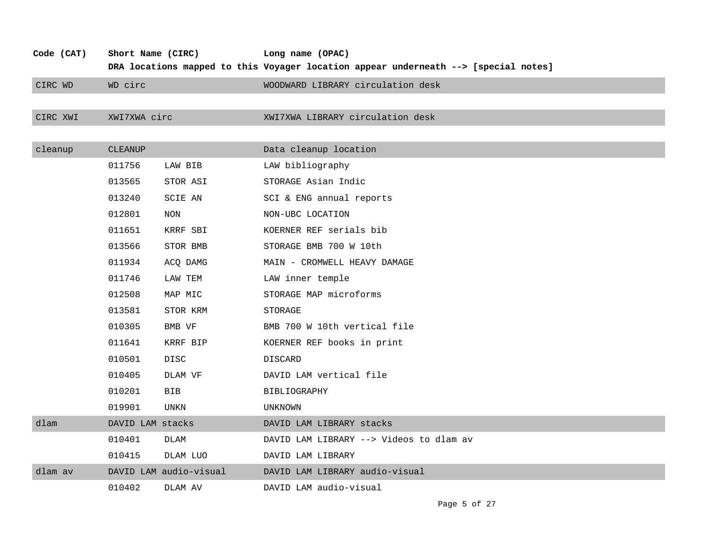| Code (CAT) | Short Name (CIRC) |                        | Long name (OPAC)                                                                    |
|------------|-------------------|------------------------|-------------------------------------------------------------------------------------|
|            |                   |                        | DRA locations mapped to this Voyager location appear underneath --> [special notes] |
| CIRC WD    | WD circ           |                        | WOODWARD LIBRARY circulation desk                                                   |
|            |                   |                        |                                                                                     |
| CIRC XWI   | XWI7XWA circ      |                        | XWI7XWA LIBRARY circulation desk                                                    |
|            |                   |                        |                                                                                     |
| cleanup    | <b>CLEANUP</b>    |                        | Data cleanup location                                                               |
|            | 011756            | LAW BIB                | LAW bibliography                                                                    |
|            | 013565            | STOR ASI               | STORAGE Asian Indic                                                                 |
|            | 013240            | SCIE AN                | SCI & ENG annual reports                                                            |
|            | 012801            | NON                    | NON-UBC LOCATION                                                                    |
|            | 011651            | KRRF SBI               | KOERNER REF serials bib                                                             |
|            | 013566            | STOR BMB               | STORAGE BMB 700 W 10th                                                              |
|            | 011934            | ACQ DAMG               | MAIN - CROMWELL HEAVY DAMAGE                                                        |
|            | 011746            | LAW TEM                | LAW inner temple                                                                    |
|            | 012508            | MAP MIC                | STORAGE MAP microforms                                                              |
|            | 013581            | STOR KRM               | STORAGE                                                                             |
|            | 010305            | BMB VF                 | BMB 700 W 10th vertical file                                                        |
|            | 011641            | KRRF BIP               | KOERNER REF books in print                                                          |
|            | 010501            | DISC                   | DISCARD                                                                             |
|            | 010405            | DLAM VF                | DAVID LAM vertical file                                                             |
|            | 010201            | <b>BIB</b>             | <b>BIBLIOGRAPHY</b>                                                                 |
|            | 019901            | UNKN                   | UNKNOWN                                                                             |
| dlam       | DAVID LAM stacks  |                        | DAVID LAM LIBRARY stacks                                                            |
|            | 010401            | DLAM                   | DAVID LAM LIBRARY --> Videos to dlam av                                             |
|            | 010415            | DLAM LUO               | DAVID LAM LIBRARY                                                                   |
| dlam av    |                   | DAVID LAM audio-visual | DAVID LAM LIBRARY audio-visual                                                      |
|            | 010402            | DLAM AV                | DAVID LAM audio-visual                                                              |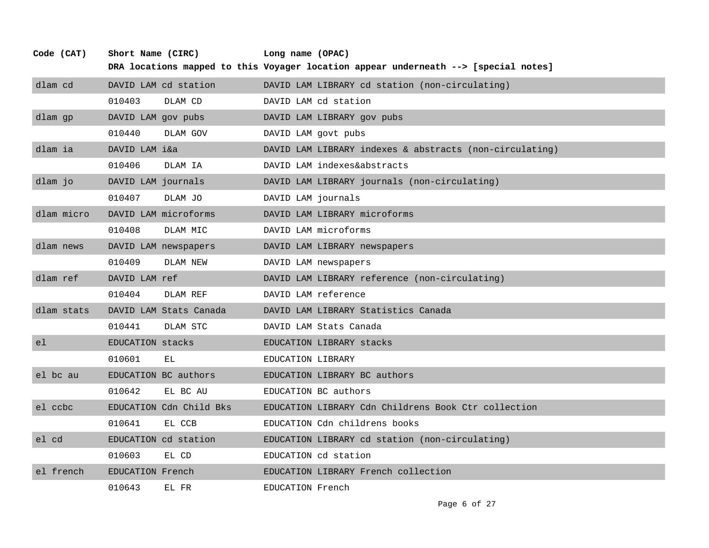| Code (CAT) | Short Name (CIRC)  |                         | Long name (OPAC)   |                                                                                     |
|------------|--------------------|-------------------------|--------------------|-------------------------------------------------------------------------------------|
|            |                    |                         |                    | DRA locations mapped to this Voyager location appear underneath --> [special notes] |
| dlam cd    |                    | DAVID LAM cd station    |                    | DAVID LAM LIBRARY cd station (non-circulating)                                      |
|            | 010403             | DLAM CD                 |                    | DAVID LAM cd station                                                                |
| dlam gp    | DAVID LAM gov pubs |                         |                    | DAVID LAM LIBRARY gov pubs                                                          |
|            | 010440             | DLAM GOV                |                    | DAVID LAM govt pubs                                                                 |
| dlam ia    | DAVID LAM i&a      |                         |                    | DAVID LAM LIBRARY indexes & abstracts (non-circulating)                             |
|            | 010406             | DLAM IA                 |                    | DAVID LAM indexes&abstracts                                                         |
| dlam jo    | DAVID LAM journals |                         |                    | DAVID LAM LIBRARY journals (non-circulating)                                        |
|            | 010407             | DLAM JO                 | DAVID LAM journals |                                                                                     |
| dlam micro |                    | DAVID LAM microforms    |                    | DAVID LAM LIBRARY microforms                                                        |
|            | 010408             | DLAM MIC                |                    | DAVID LAM microforms                                                                |
| dlam news  |                    | DAVID LAM newspapers    |                    | DAVID LAM LIBRARY newspapers                                                        |
|            | 010409             | DLAM NEW                |                    | DAVID LAM newspapers                                                                |
| dlam ref   | DAVID LAM ref      |                         |                    | DAVID LAM LIBRARY reference (non-circulating)                                       |
|            | 010404             | DLAM REF                |                    | DAVID LAM reference                                                                 |
| dlam stats |                    | DAVID LAM Stats Canada  |                    | DAVID LAM LIBRARY Statistics Canada                                                 |
|            | 010441             | DLAM STC                |                    | DAVID LAM Stats Canada                                                              |
| el         | EDUCATION stacks   |                         |                    | EDUCATION LIBRARY stacks                                                            |
|            | 010601             | EL.                     | EDUCATION LIBRARY  |                                                                                     |
| el bc au   |                    | EDUCATION BC authors    |                    | EDUCATION LIBRARY BC authors                                                        |
|            | 010642             | EL BC AU                |                    | EDUCATION BC authors                                                                |
| el ccbc    |                    | EDUCATION Cdn Child Bks |                    | EDUCATION LIBRARY Cdn Childrens Book Ctr collection                                 |
|            | 010641             | EL CCB                  |                    | EDUCATION Cdn childrens books                                                       |
| el cd      |                    | EDUCATION cd station    |                    | EDUCATION LIBRARY cd station (non-circulating)                                      |
|            | 010603             | EL CD                   |                    | EDUCATION cd station                                                                |
| el french  | EDUCATION French   |                         |                    | EDUCATION LIBRARY French collection                                                 |
|            | 010643             | EL FR                   | EDUCATION French   |                                                                                     |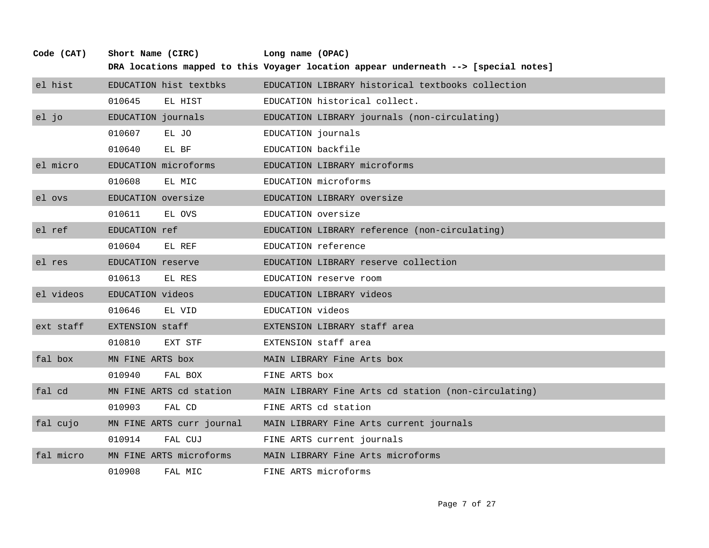| Code (CAT) | Short Name (CIRC)         | Long name (OPAC)                                                                    |
|------------|---------------------------|-------------------------------------------------------------------------------------|
|            |                           | DRA locations mapped to this Voyager location appear underneath --> [special notes] |
| el hist    | EDUCATION hist textbks    | EDUCATION LIBRARY historical textbooks collection                                   |
|            | 010645<br>EL HIST         | EDUCATION historical collect.                                                       |
| el jo      | EDUCATION journals        | EDUCATION LIBRARY journals (non-circulating)                                        |
|            | 010607<br>EL JO           | EDUCATION journals                                                                  |
|            | 010640<br>EL BF           | EDUCATION backfile                                                                  |
| el micro   | EDUCATION microforms      | EDUCATION LIBRARY microforms                                                        |
|            | 010608<br>EL MIC          | EDUCATION microforms                                                                |
| el ovs     | EDUCATION oversize        | EDUCATION LIBRARY oversize                                                          |
|            | 010611<br>EL OVS          | EDUCATION oversize                                                                  |
| el ref     | EDUCATION ref             | EDUCATION LIBRARY reference (non-circulating)                                       |
|            | 010604<br>EL REF          | EDUCATION reference                                                                 |
| el res     | EDUCATION reserve         | EDUCATION LIBRARY reserve collection                                                |
|            | 010613<br>EL RES          | EDUCATION reserve room                                                              |
| el videos  | EDUCATION videos          | EDUCATION LIBRARY videos                                                            |
|            | 010646<br>EL VID          | EDUCATION videos                                                                    |
| ext staff  | EXTENSION staff           | EXTENSION LIBRARY staff area                                                        |
|            | 010810<br>EXT STF         | EXTENSION staff area                                                                |
| fal box    | MN FINE ARTS box          | MAIN LIBRARY Fine Arts box                                                          |
|            | 010940<br>FAL BOX         | FINE ARTS box                                                                       |
| fal cd     | MN FINE ARTS cd station   | MAIN LIBRARY Fine Arts cd station (non-circulating)                                 |
|            | 010903<br>FAL CD          | FINE ARTS cd station                                                                |
| fal cujo   | MN FINE ARTS curr journal | MAIN LIBRARY Fine Arts current journals                                             |
|            | 010914<br>FAL CUJ         | FINE ARTS current journals                                                          |
| fal micro  | MN FINE ARTS microforms   | MAIN LIBRARY Fine Arts microforms                                                   |
|            | 010908<br>FAL MIC         | FINE ARTS microforms                                                                |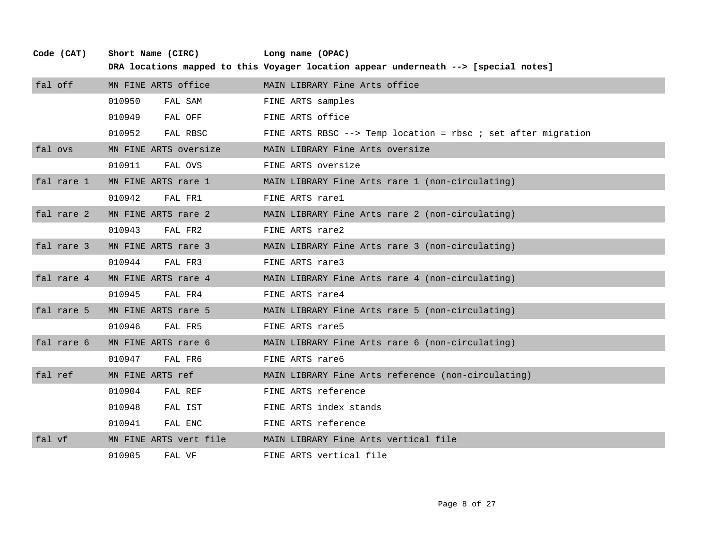| fal off    | MN FINE ARTS office    | MAIN LIBRARY Fine Arts office                                  |
|------------|------------------------|----------------------------------------------------------------|
|            | 010950<br>FAL SAM      | FINE ARTS samples                                              |
|            | 010949<br>FAL OFF      | FINE ARTS office                                               |
|            | 010952<br>FAL RBSC     | FINE ARTS RBSC $--$ Temp location = rbsc ; set after migration |
| fal ovs    | MN FINE ARTS oversize  | MAIN LIBRARY Fine Arts oversize                                |
|            | 010911<br>FAL OVS      | FINE ARTS oversize                                             |
| fal rare 1 | MN FINE ARTS rare 1    | MAIN LIBRARY Fine Arts rare 1 (non-circulating)                |
|            | 010942<br>FAL FR1      | FINE ARTS rarel                                                |
| fal rare 2 | MN FINE ARTS rare 2    | MAIN LIBRARY Fine Arts rare 2 (non-circulating)                |
|            | 010943<br>FAL FR2      | FINE ARTS rare2                                                |
| fal rare 3 | MN FINE ARTS rare 3    | MAIN LIBRARY Fine Arts rare 3 (non-circulating)                |
|            | 010944<br>FAL FR3      | FINE ARTS rare3                                                |
| fal rare 4 | MN FINE ARTS rare 4    | MAIN LIBRARY Fine Arts rare 4 (non-circulating)                |
|            | 010945<br>FAL FR4      | FINE ARTS rare4                                                |
| fal rare 5 | MN FINE ARTS rare 5    | MAIN LIBRARY Fine Arts rare 5 (non-circulating)                |
|            | 010946<br>FAL FR5      | FINE ARTS rare5                                                |
| fal rare 6 | MN FINE ARTS rare 6    | MAIN LIBRARY Fine Arts rare 6 (non-circulating)                |
|            | 010947<br>FAL FR6      | FINE ARTS rare6                                                |
| fal ref    | MN FINE ARTS ref       | MAIN LIBRARY Fine Arts reference (non-circulating)             |
|            | 010904<br>FAL REF      | FINE ARTS reference                                            |
|            | 010948<br>FAL IST      | FINE ARTS index stands                                         |
|            | 010941<br>FAL ENC      | FINE ARTS reference                                            |
| fal vf     | MN FINE ARTS vert file | MAIN LIBRARY Fine Arts vertical file                           |
|            | 010905<br>FAL VF       | FINE ARTS vertical file                                        |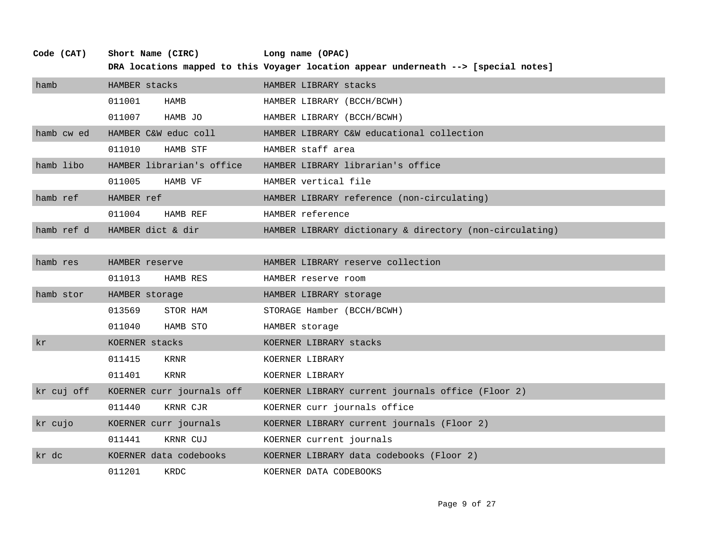| Code (CAT) | Short Name (CIRC)         | Long name (OPAC)                                                                    |
|------------|---------------------------|-------------------------------------------------------------------------------------|
|            |                           | DRA locations mapped to this Voyager location appear underneath --> [special notes] |
| hamb       | HAMBER stacks             | HAMBER LIBRARY stacks                                                               |
|            | 011001<br>HAMB            | HAMBER LIBRARY (BCCH/BCWH)                                                          |
|            | 011007<br>HAMB JO         | HAMBER LIBRARY (BCCH/BCWH)                                                          |
| hamb cw ed | HAMBER C&W educ coll      | HAMBER LIBRARY C&W educational collection                                           |
|            | 011010<br>HAMB STF        | HAMBER staff area                                                                   |
| hamb libo  | HAMBER librarian's office | HAMBER LIBRARY librarian's office                                                   |
|            | 011005<br>HAMB VF         | HAMBER vertical file                                                                |
| hamb ref   | HAMBER ref                | HAMBER LIBRARY reference (non-circulating)                                          |
|            | 011004<br>HAMB REF        | HAMBER reference                                                                    |
| hamb ref d | HAMBER dict & dir         | HAMBER LIBRARY dictionary & directory (non-circulating)                             |
|            |                           |                                                                                     |
| hamb res   | HAMBER reserve            | HAMBER LIBRARY reserve collection                                                   |
|            | 011013<br>HAMB RES        | HAMBER reserve room                                                                 |
| hamb stor  | HAMBER storage            | HAMBER LIBRARY storage                                                              |
|            | 013569<br>STOR HAM        | STORAGE Hamber (BCCH/BCWH)                                                          |
|            | 011040<br>HAMB STO        | HAMBER storage                                                                      |
| kr         | KOERNER stacks            | KOERNER LIBRARY stacks                                                              |
|            | 011415<br>KRNR            | KOERNER LIBRARY                                                                     |
|            | 011401<br>KRNR            | KOERNER LIBRARY                                                                     |
| kr cuj off | KOERNER curr journals off | KOERNER LIBRARY current journals office (Floor 2)                                   |
|            | 011440<br>KRNR CJR        | KOERNER curr journals office                                                        |
| kr cujo    | KOERNER curr journals     | KOERNER LIBRARY current journals (Floor 2)                                          |
|            | 011441<br>KRNR CUJ        | KOERNER current journals                                                            |
| kr dc      | KOERNER data codebooks    | KOERNER LIBRARY data codebooks (Floor 2)                                            |
|            | 011201<br>KRDC            | KOERNER DATA CODEBOOKS                                                              |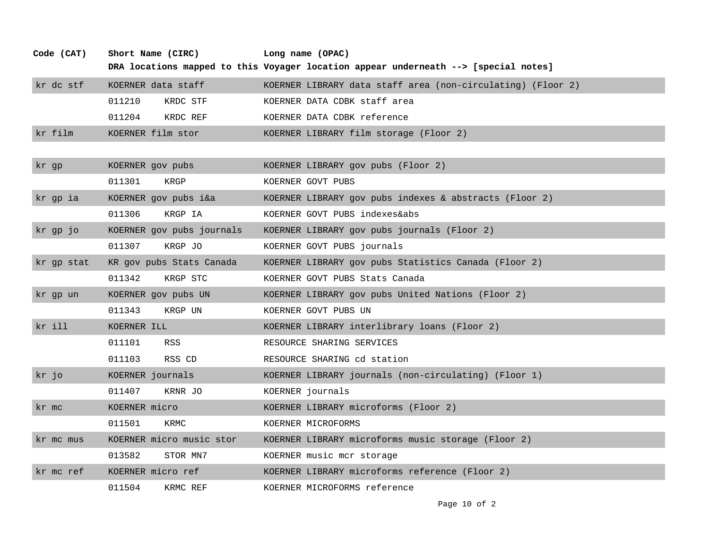| Code (CAT) | Short Name (CIRC)         | Long name (OPAC)                                                                    |
|------------|---------------------------|-------------------------------------------------------------------------------------|
|            |                           | DRA locations mapped to this Voyager location appear underneath --> [special notes] |
| kr dc stf  | KOERNER data staff        | KOERNER LIBRARY data staff area (non-circulating) (Floor 2)                         |
|            | 011210<br>KRDC STF        | KOERNER DATA CDBK staff area                                                        |
|            | 011204<br>KRDC REF        | KOERNER DATA CDBK reference                                                         |
| kr film    | KOERNER film stor         | KOERNER LIBRARY film storage (Floor 2)                                              |
|            |                           |                                                                                     |
| kr gp      | KOERNER gov pubs          | KOERNER LIBRARY gov pubs (Floor 2)                                                  |
|            | 011301<br>KRGP            | KOERNER GOVT PUBS                                                                   |
| kr gp ia   | KOERNER gov pubs i&a      | KOERNER LIBRARY gov pubs indexes & abstracts (Floor 2)                              |
|            | 011306<br>KRGP IA         | KOERNER GOVT PUBS indexes&abs                                                       |
| kr gp jo   | KOERNER gov pubs journals | KOERNER LIBRARY gov pubs journals (Floor 2)                                         |
|            | 011307<br>KRGP JO         | KOERNER GOVT PUBS journals                                                          |
| kr gp stat | KR gov pubs Stats Canada  | KOERNER LIBRARY gov pubs Statistics Canada (Floor 2)                                |
|            | 011342<br>KRGP STC        | KOERNER GOVT PUBS Stats Canada                                                      |
| kr gp un   | KOERNER gov pubs UN       | KOERNER LIBRARY gov pubs United Nations (Floor 2)                                   |
|            | 011343<br>KRGP UN         | KOERNER GOVT PUBS UN                                                                |
| kr ill     | KOERNER ILL               | KOERNER LIBRARY interlibrary loans (Floor 2)                                        |
|            | 011101<br>RSS             | RESOURCE SHARING SERVICES                                                           |
|            | RSS CD<br>011103          | RESOURCE SHARING cd station                                                         |
| kr jo      | KOERNER journals          | KOERNER LIBRARY journals (non-circulating) (Floor 1)                                |
|            | 011407<br>KRNR JO         | KOERNER journals                                                                    |
| kr mc      | KOERNER micro             | KOERNER LIBRARY microforms (Floor 2)                                                |
|            | 011501<br>KRMC            | KOERNER MICROFORMS                                                                  |
| kr mc mus  | KOERNER micro music stor  | KOERNER LIBRARY microforms music storage (Floor 2)                                  |
|            | 013582<br>STOR MN7        | KOERNER music mcr storage                                                           |
| kr mc ref  | KOERNER micro ref         | KOERNER LIBRARY microforms reference (Floor 2)                                      |
|            | 011504<br>KRMC REF        | KOERNER MICROFORMS reference                                                        |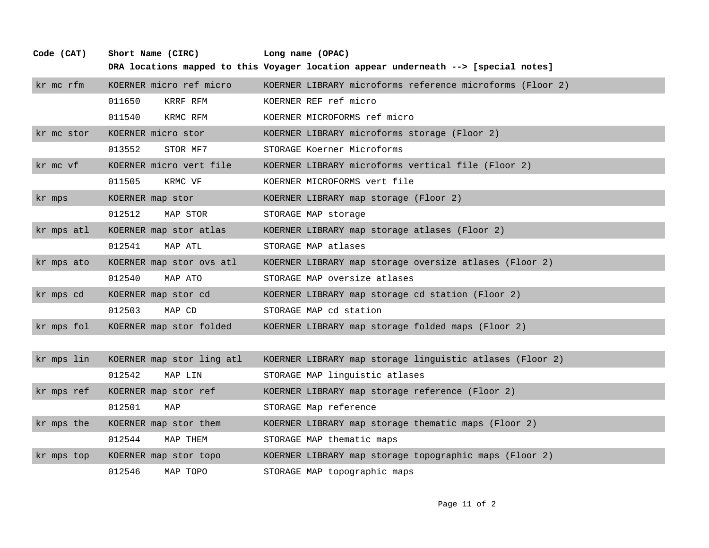| kr mc rfm  | KOERNER micro ref micro   | KOERNER LIBRARY microforms reference microforms (Floor 2) |
|------------|---------------------------|-----------------------------------------------------------|
|            | 011650<br>KRRF RFM        | KOERNER REF ref micro                                     |
|            | 011540<br>KRMC RFM        | KOERNER MICROFORMS ref micro                              |
| kr mc stor | KOERNER micro stor        | KOERNER LIBRARY microforms storage (Floor 2)              |
|            | 013552<br>STOR MF7        | STORAGE Koerner Microforms                                |
| kr mc vf   | KOERNER micro vert file   | KOERNER LIBRARY microforms vertical file (Floor 2)        |
|            | 011505<br>KRMC VF         | KOERNER MICROFORMS vert file                              |
| kr mps     | KOERNER map stor          | KOERNER LIBRARY map storage (Floor 2)                     |
|            | 012512<br>MAP STOR        | STORAGE MAP storage                                       |
| kr mps atl | KOERNER map stor atlas    | KOERNER LIBRARY map storage atlases (Floor 2)             |
|            | 012541<br>MAP ATL         | STORAGE MAP atlases                                       |
| kr mps ato | KOERNER map stor ovs atl  | KOERNER LIBRARY map storage oversize atlases (Floor 2)    |
|            | 012540<br>MAP ATO         | STORAGE MAP oversize atlases                              |
| kr mps cd  | KOERNER map stor cd       | KOERNER LIBRARY map storage cd station (Floor 2)          |
|            | 012503<br>MAP CD          | STORAGE MAP cd station                                    |
| kr mps fol | KOERNER map stor folded   | KOERNER LIBRARY map storage folded maps (Floor 2)         |
|            |                           |                                                           |
| kr mps lin | KOERNER map stor ling atl | KOERNER LIBRARY map storage linguistic atlases (Floor 2)  |
|            | 012542<br>MAP LIN         | STORAGE MAP linguistic atlases                            |
| kr mps ref | KOERNER map stor ref      | KOERNER LIBRARY map storage reference (Floor 2)           |
|            | 012501<br>MAP             | STORAGE Map reference                                     |
| kr mps the | KOERNER map stor them     | KOERNER LIBRARY map storage thematic maps (Floor 2)       |
|            | 012544<br>MAP THEM        | STORAGE MAP thematic maps                                 |
| kr mps top | KOERNER map stor topo     | KOERNER LIBRARY map storage topographic maps (Floor 2)    |
|            | 012546<br>MAP TOPO        | STORAGE MAP topographic maps                              |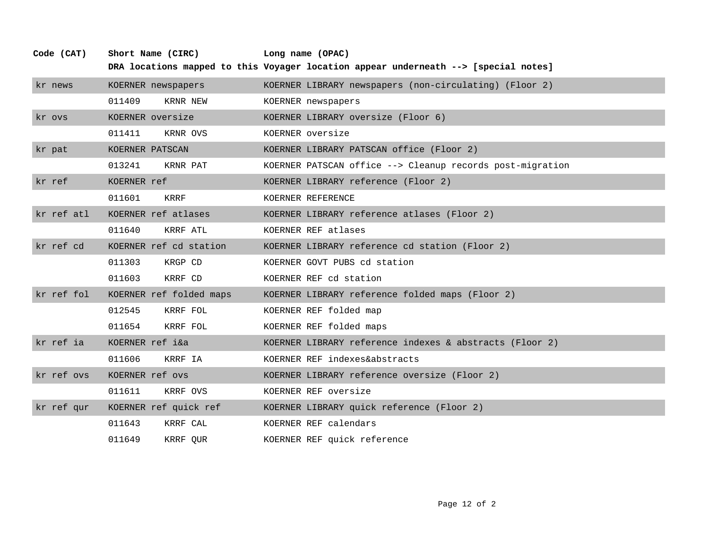| Code (CAT) | Short Name (CIRC)       | Long name (OPAC)                                                                    |
|------------|-------------------------|-------------------------------------------------------------------------------------|
|            |                         | DRA locations mapped to this Voyager location appear underneath --> [special notes] |
| kr news    | KOERNER newspapers      | KOERNER LIBRARY newspapers (non-circulating) (Floor 2)                              |
|            | 011409<br>KRNR NEW      | KOERNER newspapers                                                                  |
| kr ovs     | KOERNER oversize        | KOERNER LIBRARY oversize (Floor 6)                                                  |
|            | 011411<br>KRNR OVS      | KOERNER oversize                                                                    |
| kr pat     | KOERNER PATSCAN         | KOERNER LIBRARY PATSCAN office (Floor 2)                                            |
|            | 013241<br>KRNR PAT      | KOERNER PATSCAN office --> Cleanup records post-migration                           |
| kr ref     | KOERNER ref             | KOERNER LIBRARY reference (Floor 2)                                                 |
|            | 011601<br>KRRF          | KOERNER REFERENCE                                                                   |
| kr ref atl | KOERNER ref atlases     | KOERNER LIBRARY reference atlases (Floor 2)                                         |
|            | 011640<br>KRRF ATL      | KOERNER REF atlases                                                                 |
| kr ref cd  | KOERNER ref cd station  | KOERNER LIBRARY reference cd station (Floor 2)                                      |
|            | 011303<br>KRGP CD       | KOERNER GOVT PUBS cd station                                                        |
|            | 011603<br>KRRF CD       | KOERNER REF cd station                                                              |
| kr ref fol | KOERNER ref folded maps | KOERNER LIBRARY reference folded maps (Floor 2)                                     |
|            | 012545<br>KRRF FOL      | KOERNER REF folded map                                                              |
|            | 011654<br>KRRF FOL      | KOERNER REF folded maps                                                             |
| kr ref ia  | KOERNER ref i&a         | KOERNER LIBRARY reference indexes & abstracts (Floor 2)                             |
|            | 011606<br>KRRF IA       | KOERNER REF indexes&abstracts                                                       |
| kr ref ovs | KOERNER ref ovs         | KOERNER LIBRARY reference oversize (Floor 2)                                        |
|            | 011611<br>KRRF OVS      | KOERNER REF oversize                                                                |
| kr ref qur | KOERNER ref quick ref   | KOERNER LIBRARY quick reference (Floor 2)                                           |
|            | 011643<br>KRRF CAL      | KOERNER REF calendars                                                               |
|            | 011649<br>KRRF QUR      | KOERNER REF quick reference                                                         |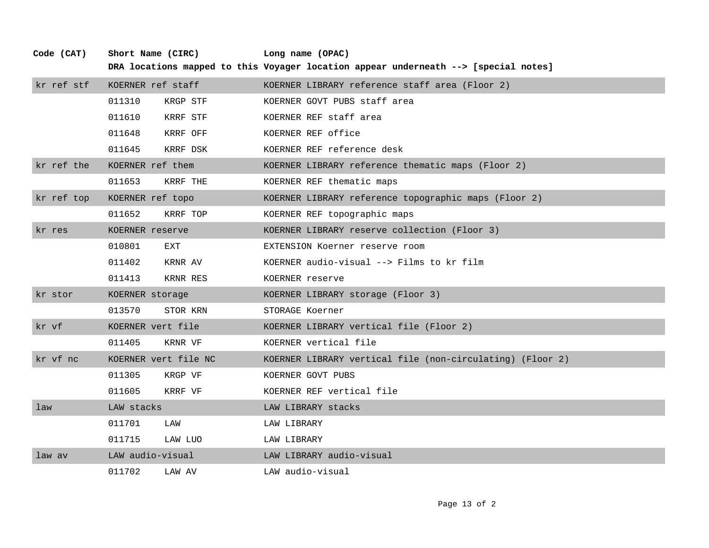| kr ref stf | KOERNER ref staff    |          | KOERNER LIBRARY reference staff area (Floor 2)            |
|------------|----------------------|----------|-----------------------------------------------------------|
|            | 011310               | KRGP STF | KOERNER GOVT PUBS staff area                              |
|            | 011610               | KRRF STF | KOERNER REF staff area                                    |
|            | 011648               | KRRF OFF | KOERNER REF office                                        |
|            | 011645               | KRRF DSK | KOERNER REF reference desk                                |
| kr ref the | KOERNER ref them     |          | KOERNER LIBRARY reference thematic maps (Floor 2)         |
|            | 011653               | KRRF THE | KOERNER REF thematic maps                                 |
| kr ref top | KOERNER ref topo     |          | KOERNER LIBRARY reference topographic maps (Floor 2)      |
|            | 011652               | KRRF TOP | KOERNER REF topographic maps                              |
| kr res     | KOERNER reserve      |          | KOERNER LIBRARY reserve collection (Floor 3)              |
|            | 010801               | EXT      | EXTENSION Koerner reserve room                            |
|            | 011402               | KRNR AV  | KOERNER audio-visual --> Films to kr film                 |
|            | 011413               | KRNR RES | KOERNER reserve                                           |
| kr stor    | KOERNER storage      |          | KOERNER LIBRARY storage (Floor 3)                         |
|            | 013570               | STOR KRN | STORAGE Koerner                                           |
| kr vf      | KOERNER vert file    |          | KOERNER LIBRARY vertical file (Floor 2)                   |
|            | 011405               | KRNR VF  | KOERNER vertical file                                     |
| kr vf nc   | KOERNER vert file NC |          | KOERNER LIBRARY vertical file (non-circulating) (Floor 2) |
|            | 011305               | KRGP VF  | KOERNER GOVT PUBS                                         |
|            | 011605               | KRRF VF  | KOERNER REF vertical file                                 |
| law        | LAW stacks           |          | LAW LIBRARY stacks                                        |
|            | 011701               | LAW      | LAW LIBRARY                                               |
|            | 011715               | LAW LUO  | LAW LIBRARY                                               |
| law av     | LAW audio-visual     |          | LAW LIBRARY audio-visual                                  |
|            | 011702               | LAW AV   | LAW audio-visual                                          |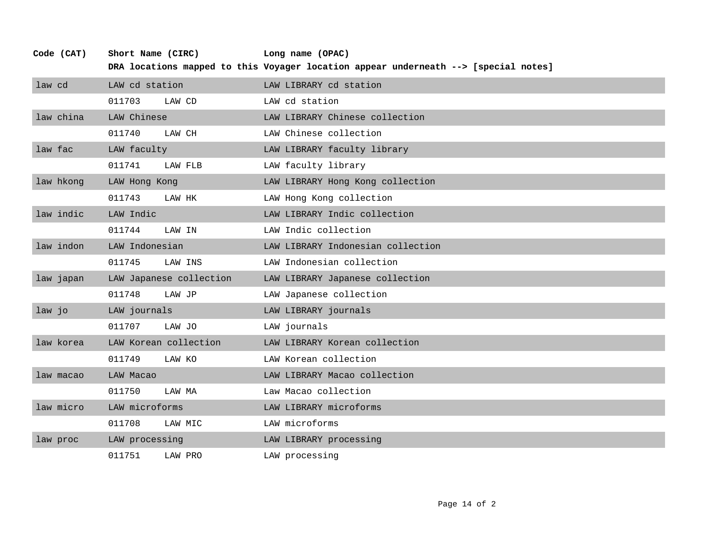| Code (CAT) | Short Name (CIRC)       | Long name (OPAC)                                                                    |
|------------|-------------------------|-------------------------------------------------------------------------------------|
|            |                         | DRA locations mapped to this Voyager location appear underneath --> [special notes] |
| law cd     | LAW cd station          | LAW LIBRARY cd station                                                              |
|            | 011703<br>LAW CD        | LAW cd station                                                                      |
| law china  | LAW Chinese             | LAW LIBRARY Chinese collection                                                      |
|            | 011740<br>LAW CH        | LAW Chinese collection                                                              |
| law fac    | LAW faculty             | LAW LIBRARY faculty library                                                         |
|            | 011741<br>LAW FLB       | LAW faculty library                                                                 |
| law hkong  | LAW Hong Kong           | LAW LIBRARY Hong Kong collection                                                    |
|            | 011743<br>LAW HK        | LAW Hong Kong collection                                                            |
| law indic  | LAW Indic               | LAW LIBRARY Indic collection                                                        |
|            | 011744<br>LAW IN        | LAW Indic collection                                                                |
| law indon  | LAW Indonesian          | LAW LIBRARY Indonesian collection                                                   |
|            | 011745<br>LAW INS       | LAW Indonesian collection                                                           |
| law japan  | LAW Japanese collection | LAW LIBRARY Japanese collection                                                     |
|            | 011748<br>LAW JP        | LAW Japanese collection                                                             |
| law jo     | LAW journals            | LAW LIBRARY journals                                                                |
|            | 011707<br>LAW JO        | LAW journals                                                                        |
| law korea  | LAW Korean collection   | LAW LIBRARY Korean collection                                                       |
|            | 011749<br>LAW KO        | LAW Korean collection                                                               |
| law macao  | LAW Macao               | LAW LIBRARY Macao collection                                                        |
|            | 011750<br>LAW MA        | Law Macao collection                                                                |
| law micro  | LAW microforms          | LAW LIBRARY microforms                                                              |
|            | 011708<br>LAW MIC       | LAW microforms                                                                      |
| law proc   | LAW processing          | LAW LIBRARY processing                                                              |
|            | 011751<br>LAW PRO       | LAW processing                                                                      |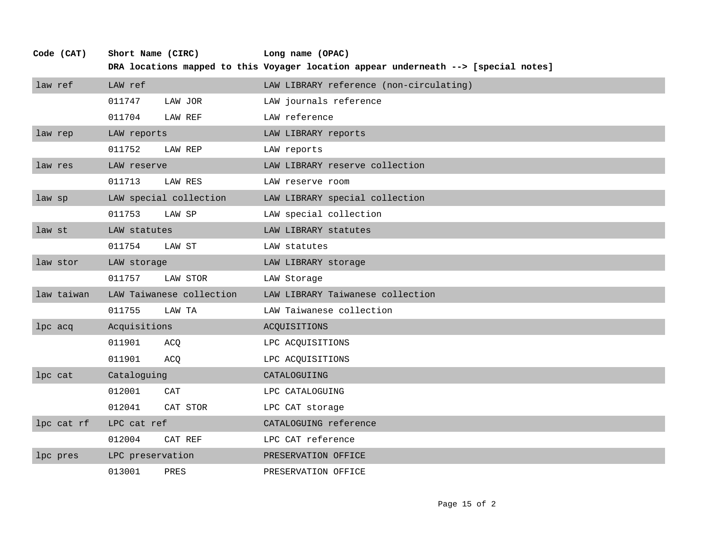| Code (CAT) | Short Name (CIRC) |                          | Long name (OPAC)                                                                    |
|------------|-------------------|--------------------------|-------------------------------------------------------------------------------------|
|            |                   |                          | DRA locations mapped to this Voyager location appear underneath --> [special notes] |
| law ref    | LAW ref           |                          | LAW LIBRARY reference (non-circulating)                                             |
|            | 011747            | LAW JOR                  | LAW journals reference                                                              |
|            | 011704            | LAW REF                  | LAW reference                                                                       |
| law rep    | LAW reports       |                          | LAW LIBRARY reports                                                                 |
|            | 011752            | LAW REP                  | LAW reports                                                                         |
| law res    | LAW reserve       |                          | LAW LIBRARY reserve collection                                                      |
|            | 011713            | LAW RES                  | LAW reserve room                                                                    |
| law sp     |                   | LAW special collection   | LAW LIBRARY special collection                                                      |
|            | 011753            | LAW SP                   | LAW special collection                                                              |
| law st     | LAW statutes      |                          | LAW LIBRARY statutes                                                                |
|            | 011754            | LAW ST                   | LAW statutes                                                                        |
| law stor   | LAW storage       |                          | LAW LIBRARY storage                                                                 |
|            | 011757            | LAW STOR                 | LAW Storage                                                                         |
| law taiwan |                   | LAW Taiwanese collection | LAW LIBRARY Taiwanese collection                                                    |
|            | 011755            | LAW TA                   | LAW Taiwanese collection                                                            |
| lpc acq    | Acquisitions      |                          | ACQUISITIONS                                                                        |
|            | 011901            | ACQ                      | LPC ACQUISITIONS                                                                    |
|            | 011901            | ACQ                      | LPC ACQUISITIONS                                                                    |
| lpc cat    | Cataloguing       |                          | CATALOGUIING                                                                        |
|            | 012001            | CAT                      | LPC CATALOGUING                                                                     |
|            | 012041            | CAT STOR                 | LPC CAT storage                                                                     |
| lpc cat rf | LPC cat ref       |                          | CATALOGUING reference                                                               |
|            | 012004            | CAT REF                  | LPC CAT reference                                                                   |
| lpc pres   | LPC preservation  |                          | PRESERVATION OFFICE                                                                 |
|            | 013001            | PRES                     | PRESERVATION OFFICE                                                                 |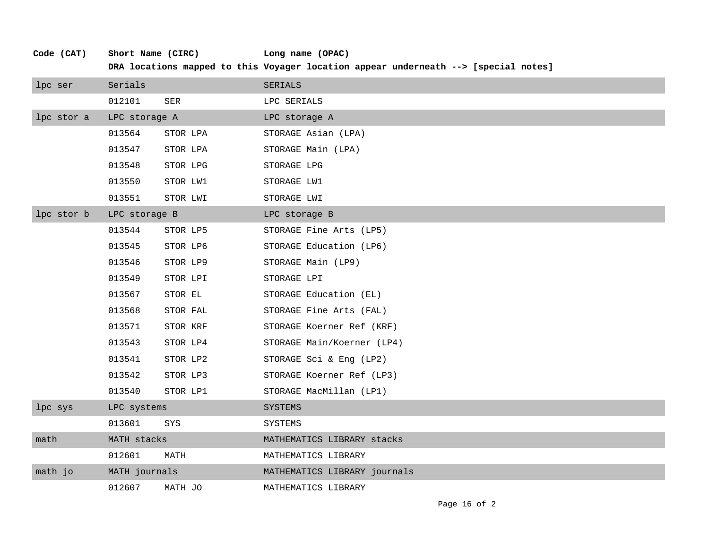| Code (CAT) | Short Name (CIRC) |          | Long name (OPAC)<br>DRA locations mapped to this Voyager location appear underneath --> [special notes] |
|------------|-------------------|----------|---------------------------------------------------------------------------------------------------------|
| lpc ser    | Serials           |          | SERIALS                                                                                                 |
|            | 012101            | SER      | LPC SERIALS                                                                                             |
| lpc stor a | LPC storage A     |          | LPC storage A                                                                                           |
|            | 013564            | STOR LPA | STORAGE Asian (LPA)                                                                                     |
|            | 013547            | STOR LPA | STORAGE Main (LPA)                                                                                      |
|            | 013548            | STOR LPG | STORAGE LPG                                                                                             |
|            | 013550            | STOR LW1 | STORAGE LW1                                                                                             |
|            | 013551            | STOR LWI | STORAGE LWI                                                                                             |
| lpc stor b | LPC storage B     |          | LPC storage B                                                                                           |
|            | 013544            | STOR LP5 | STORAGE Fine Arts (LP5)                                                                                 |
|            | 013545            | STOR LP6 | STORAGE Education (LP6)                                                                                 |
|            | 013546            | STOR LP9 | STORAGE Main (LP9)                                                                                      |
|            | 013549            | STOR LPI | STORAGE LPI                                                                                             |
|            | 013567            | STOR EL  | STORAGE Education (EL)                                                                                  |
|            | 013568            | STOR FAL | STORAGE Fine Arts (FAL)                                                                                 |
|            | 013571            | STOR KRF | STORAGE Koerner Ref (KRF)                                                                               |
|            | 013543            | STOR LP4 | STORAGE Main/Koerner (LP4)                                                                              |
|            | 013541            | STOR LP2 | STORAGE Sci & Eng (LP2)                                                                                 |
|            | 013542            | STOR LP3 | STORAGE Koerner Ref (LP3)                                                                               |
|            | 013540            | STOR LP1 | STORAGE MacMillan (LP1)                                                                                 |
| lpc sys    | LPC systems       |          | SYSTEMS                                                                                                 |
|            | 013601            | SYS      | SYSTEMS                                                                                                 |
| math       | MATH stacks       |          | MATHEMATICS LIBRARY stacks                                                                              |
|            | 012601            | MATH     | MATHEMATICS LIBRARY                                                                                     |
| math jo    | MATH journals     |          | MATHEMATICS LIBRARY journals                                                                            |
|            | 012607            | MATH JO  | MATHEMATICS LIBRARY                                                                                     |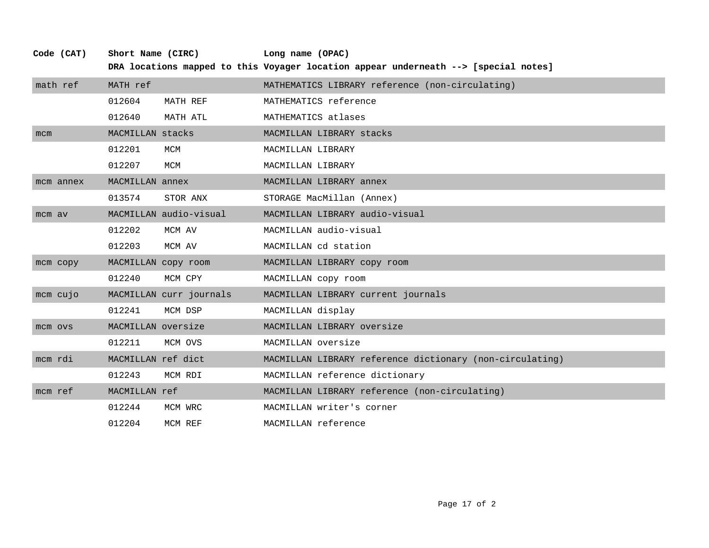|           |                    |                         | DRA locations mapped to this Voyager location appear underneath --> [special notes] |
|-----------|--------------------|-------------------------|-------------------------------------------------------------------------------------|
| math ref  | MATH ref           |                         | MATHEMATICS LIBRARY reference (non-circulating)                                     |
|           | 012604             | MATH REF                | MATHEMATICS reference                                                               |
|           | 012640             | MATH ATL                | MATHEMATICS atlases                                                                 |
| mcm       | MACMILLAN stacks   |                         | MACMILLAN LIBRARY stacks                                                            |
|           | 012201             | MCM                     | MACMILLAN LIBRARY                                                                   |
|           | 012207             | MCM                     | MACMILLAN LIBRARY                                                                   |
| mcm annex | MACMILLAN annex    |                         | MACMILLAN LIBRARY annex                                                             |
|           | 013574             | STOR ANX                | STORAGE MacMillan (Annex)                                                           |
| mcm av    |                    | MACMILLAN audio-visual  | MACMILLAN LIBRARY audio-visual                                                      |
|           | 012202             | MCM AV                  | MACMILLAN audio-visual                                                              |
|           | 012203             | MCM AV                  | MACMILLAN cd station                                                                |
| mcm copy  |                    | MACMILLAN copy room     | MACMILLAN LIBRARY copy room                                                         |
|           | 012240             | MCM CPY                 | MACMILLAN copy room                                                                 |
| mcm cujo  |                    | MACMILLAN curr journals | MACMILLAN LIBRARY current journals                                                  |
|           | 012241             | MCM DSP                 | MACMILLAN display                                                                   |
| mcm ovs   | MACMILLAN oversize |                         | MACMILLAN LIBRARY oversize                                                          |
|           | 012211             | MCM OVS                 | MACMILLAN oversize                                                                  |
| mcm rdi   | MACMILLAN ref dict |                         | MACMILLAN LIBRARY reference dictionary (non-circulating)                            |
|           | 012243             | MCM RDI                 | MACMILLAN reference dictionary                                                      |
| mcm ref   | MACMILLAN ref      |                         | MACMILLAN LIBRARY reference (non-circulating)                                       |
|           | 012244             | MCM WRC                 | MACMILLAN writer's corner                                                           |
|           | 012204             | MCM REF                 | MACMILLAN reference                                                                 |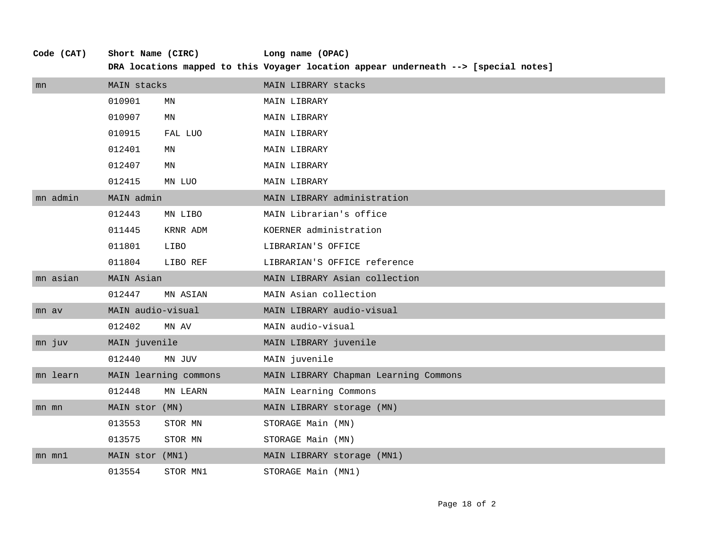| Code (CAT) | Short Name (CIRC) |                       | Long name (OPAC)                                                                    |  |
|------------|-------------------|-----------------------|-------------------------------------------------------------------------------------|--|
|            |                   |                       | DRA locations mapped to this Voyager location appear underneath --> [special notes] |  |
| mn         | MAIN stacks       |                       | MAIN LIBRARY stacks                                                                 |  |
|            | 010901            | MN                    | MAIN LIBRARY                                                                        |  |
|            | 010907            | ΜN                    | MAIN LIBRARY                                                                        |  |
|            | 010915            | FAL LUO               | MAIN LIBRARY                                                                        |  |
|            | 012401            | ΜN                    | MAIN LIBRARY                                                                        |  |
|            | 012407            | MN                    | <b>MAIN LIBRARY</b>                                                                 |  |
|            | 012415            | MN LUO                | MAIN LIBRARY                                                                        |  |
| mn admin   | MAIN admin        |                       | MAIN LIBRARY administration                                                         |  |
|            | 012443            | MN LIBO               | MAIN Librarian's office                                                             |  |
|            | 011445            | KRNR ADM              | KOERNER administration                                                              |  |
|            | 011801            | LIBO                  | LIBRARIAN'S OFFICE                                                                  |  |
|            | 011804            | LIBO REF              | LIBRARIAN'S OFFICE reference                                                        |  |
| mn asian   | MAIN Asian        |                       | MAIN LIBRARY Asian collection                                                       |  |
|            | 012447            | MN ASIAN              | MAIN Asian collection                                                               |  |
| mn av      | MAIN audio-visual |                       | MAIN LIBRARY audio-visual                                                           |  |
|            | 012402            | MN AV                 | MAIN audio-visual                                                                   |  |
| mn juv     | MAIN juvenile     |                       | MAIN LIBRARY juvenile                                                               |  |
|            | 012440            | MN JUV                | MAIN juvenile                                                                       |  |
| mn learn   |                   | MAIN learning commons | MAIN LIBRARY Chapman Learning Commons                                               |  |
|            | 012448            | MN LEARN              | MAIN Learning Commons                                                               |  |
| mn mn      | MAIN stor (MN)    |                       | MAIN LIBRARY storage (MN)                                                           |  |
|            | 013553            | STOR MN               | STORAGE Main (MN)                                                                   |  |
|            | 013575            | STOR MN               | STORAGE Main (MN)                                                                   |  |
| $mn$ $mn1$ | MAIN stor (MN1)   |                       | MAIN LIBRARY storage (MN1)                                                          |  |
|            | 013554            | STOR MN1              | STORAGE Main (MN1)                                                                  |  |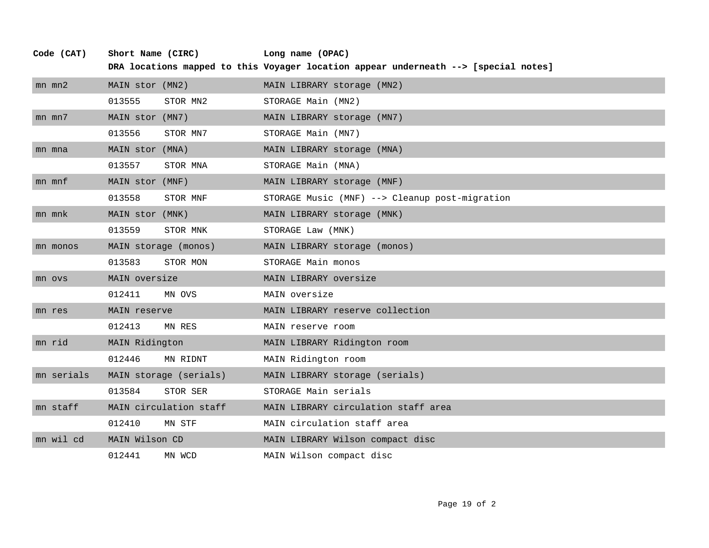| Code (CAT) | Short Name (CIRC) |                        | Long name (OPAC)                                                                    |
|------------|-------------------|------------------------|-------------------------------------------------------------------------------------|
|            |                   |                        | DRA locations mapped to this Voyager location appear underneath --> [special notes] |
| $mn$ $mn2$ | MAIN stor (MN2)   |                        | MAIN LIBRARY storage (MN2)                                                          |
|            | 013555            | STOR MN2               | STORAGE Main (MN2)                                                                  |
| $mn$ $mn7$ | MAIN stor (MN7)   |                        | MAIN LIBRARY storage (MN7)                                                          |
|            | 013556            | STOR MN7               | STORAGE Main (MN7)                                                                  |
| mn mna     | MAIN stor (MNA)   |                        | MAIN LIBRARY storage (MNA)                                                          |
|            | 013557            | STOR MNA               | STORAGE Main (MNA)                                                                  |
| mn mnf     | MAIN stor (MNF)   |                        | MAIN LIBRARY storage (MNF)                                                          |
|            | 013558            | STOR MNF               | STORAGE Music (MNF) --> Cleanup post-migration                                      |
| mn mnk     | MAIN stor (MNK)   |                        | MAIN LIBRARY storage (MNK)                                                          |
|            | 013559            | STOR MNK               | STORAGE Law (MNK)                                                                   |
| mn monos   |                   | MAIN storage (monos)   | MAIN LIBRARY storage (monos)                                                        |
|            | 013583            | STOR MON               | STORAGE Main monos                                                                  |
| mn ovs     | MAIN oversize     |                        | MAIN LIBRARY oversize                                                               |
|            | 012411            | MN OVS                 | MAIN oversize                                                                       |
| mn res     | MAIN reserve      |                        | MAIN LIBRARY reserve collection                                                     |
|            | 012413            | MN RES                 | MAIN reserve room                                                                   |
| mn rid     | MAIN Ridington    |                        | MAIN LIBRARY Ridington room                                                         |
|            | 012446            | MN RIDNT               | MAIN Ridington room                                                                 |
| mn serials |                   | MAIN storage (serials) | MAIN LIBRARY storage (serials)                                                      |
|            | 013584            | STOR SER               | STORAGE Main serials                                                                |
| mn staff   |                   | MAIN circulation staff | MAIN LIBRARY circulation staff area                                                 |
|            | 012410            | MN STF                 | MAIN circulation staff area                                                         |
| mn wil cd  | MAIN Wilson CD    |                        | MAIN LIBRARY Wilson compact disc                                                    |
|            | 012441            | MN WCD                 | MAIN Wilson compact disc                                                            |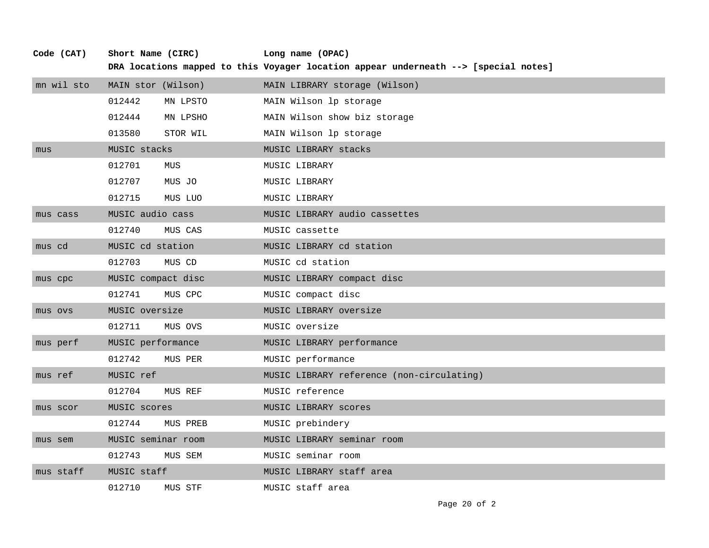| Code (CAT) | Short Name (CIRC)  |                    | Long name (OPAC)                                                                    |  |
|------------|--------------------|--------------------|-------------------------------------------------------------------------------------|--|
|            |                    |                    | DRA locations mapped to this Voyager location appear underneath --> [special notes] |  |
| mn wil sto | MAIN stor (Wilson) |                    | MAIN LIBRARY storage (Wilson)                                                       |  |
|            | 012442             | MN LPSTO           | MAIN Wilson lp storage                                                              |  |
|            | 012444             | MN LPSHO           | MAIN Wilson show biz storage                                                        |  |
|            | 013580             | STOR WIL           | MAIN Wilson lp storage                                                              |  |
| mus        | MUSIC stacks       |                    | MUSIC LIBRARY stacks                                                                |  |
|            | 012701             | MUS                | MUSIC LIBRARY                                                                       |  |
|            | 012707             | MUS JO             | MUSIC LIBRARY                                                                       |  |
|            | 012715             | MUS LUO            | MUSIC LIBRARY                                                                       |  |
| mus cass   | MUSIC audio cass   |                    | MUSIC LIBRARY audio cassettes                                                       |  |
|            | 012740             | MUS CAS            | MUSIC cassette                                                                      |  |
| mus cd     | MUSIC cd station   |                    | MUSIC LIBRARY cd station                                                            |  |
|            | 012703             | MUS CD             | MUSIC cd station                                                                    |  |
| mus cpc    |                    | MUSIC compact disc | MUSIC LIBRARY compact disc                                                          |  |
|            | 012741             | MUS CPC            | MUSIC compact disc                                                                  |  |
| mus ovs    | MUSIC oversize     |                    | MUSIC LIBRARY oversize                                                              |  |
|            | 012711             | MUS OVS            | MUSIC oversize                                                                      |  |
| mus perf   | MUSIC performance  |                    | MUSIC LIBRARY performance                                                           |  |
|            | 012742             | MUS PER            | MUSIC performance                                                                   |  |
| mus ref    | MUSIC ref          |                    | MUSIC LIBRARY reference (non-circulating)                                           |  |
|            | 012704             | MUS REF            | MUSIC reference                                                                     |  |
| mus scor   | MUSIC scores       |                    | MUSIC LIBRARY scores                                                                |  |
|            | 012744             | MUS PREB           | MUSIC prebindery                                                                    |  |
| mus sem    |                    | MUSIC seminar room | MUSIC LIBRARY seminar room                                                          |  |
|            | 012743             | MUS SEM            | MUSIC seminar room                                                                  |  |
| mus staff  | MUSIC staff        |                    | MUSIC LIBRARY staff area                                                            |  |
|            | 012710             | MUS STF            | MUSIC staff area                                                                    |  |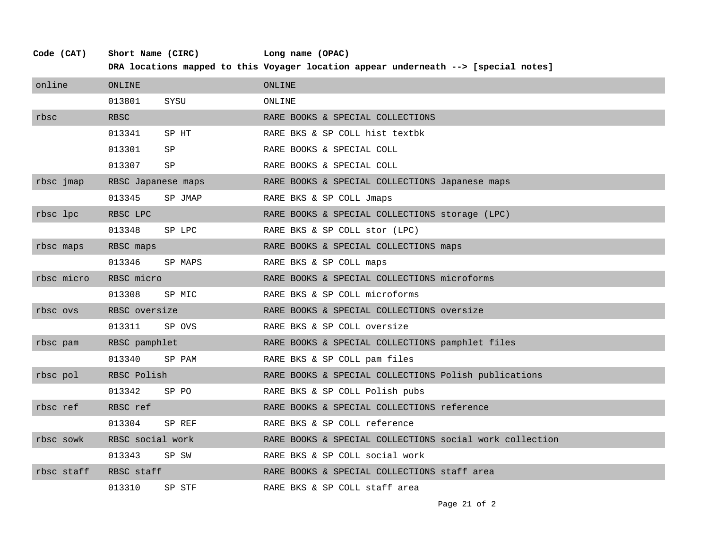| online     | ONLINE             |         | ONLINE                                                  |
|------------|--------------------|---------|---------------------------------------------------------|
|            | 013801             | SYSU    | ONLINE                                                  |
| rbsc       | <b>RBSC</b>        |         | RARE BOOKS & SPECIAL COLLECTIONS                        |
|            | 013341             | SP HT   | RARE BKS & SP COLL hist textbk                          |
|            | 013301             | SP      | RARE BOOKS & SPECIAL COLL                               |
|            | 013307             | SP      | RARE BOOKS & SPECIAL COLL                               |
| rbsc jmap  | RBSC Japanese maps |         | RARE BOOKS & SPECIAL COLLECTIONS Japanese maps          |
|            | 013345             | SP JMAP | RARE BKS & SP COLL Jmaps                                |
| rbsc lpc   | RBSC LPC           |         | RARE BOOKS & SPECIAL COLLECTIONS storage (LPC)          |
|            | 013348             | SP LPC  | RARE BKS & SP COLL stor (LPC)                           |
| rbsc maps  | RBSC maps          |         | RARE BOOKS & SPECIAL COLLECTIONS maps                   |
|            | 013346             | SP MAPS | RARE BKS & SP COLL maps                                 |
| rbsc micro | RBSC micro         |         | RARE BOOKS & SPECIAL COLLECTIONS microforms             |
|            | 013308             | SP MIC  | RARE BKS & SP COLL microforms                           |
| rbsc ovs   | RBSC oversize      |         | RARE BOOKS & SPECIAL COLLECTIONS oversize               |
|            | 013311             | SP OVS  | RARE BKS & SP COLL oversize                             |
| rbsc pam   | RBSC pamphlet      |         | RARE BOOKS & SPECIAL COLLECTIONS pamphlet files         |
|            | 013340             | SP PAM  | RARE BKS & SP COLL pam files                            |
| rbsc pol   | RBSC Polish        |         | RARE BOOKS & SPECIAL COLLECTIONS Polish publications    |
|            | 013342             | SP PO   | RARE BKS & SP COLL Polish pubs                          |
| rbsc ref   | RBSC ref           |         | RARE BOOKS & SPECIAL COLLECTIONS reference              |
|            | 013304             | SP REF  | RARE BKS & SP COLL reference                            |
| rbsc sowk  | RBSC social work   |         | RARE BOOKS & SPECIAL COLLECTIONS social work collection |
|            | 013343             | SP SW   | RARE BKS & SP COLL social work                          |
| rbsc staff | RBSC staff         |         | RARE BOOKS & SPECIAL COLLECTIONS staff area             |
|            | 013310             | SP STF  | RARE BKS & SP COLL staff area                           |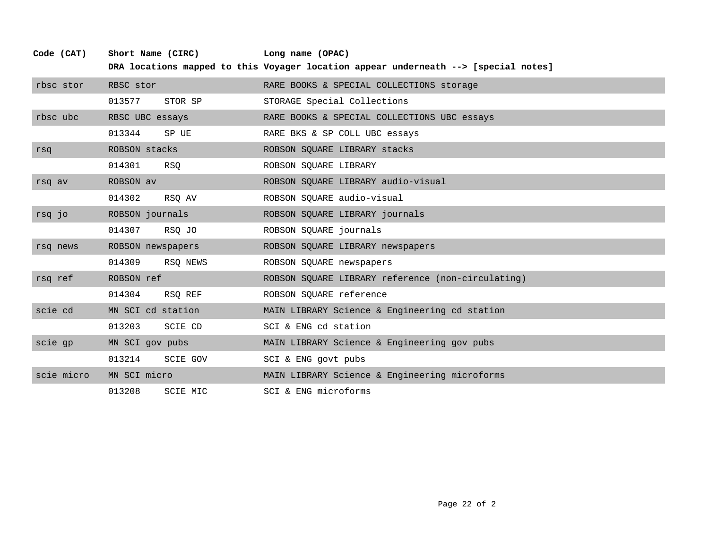| Code (CAT) | Short Name (CIRC)         | Long name (OPAC)                                                                    |
|------------|---------------------------|-------------------------------------------------------------------------------------|
|            |                           | DRA locations mapped to this Voyager location appear underneath --> [special notes] |
| rbsc stor  | RBSC stor                 | RARE BOOKS & SPECIAL COLLECTIONS storage                                            |
|            | 013577<br>STOR SP         | STORAGE Special Collections                                                         |
| rbsc ubc   | RBSC UBC essays           | RARE BOOKS & SPECIAL COLLECTIONS UBC essays                                         |
|            | 013344<br>SP UE           | RARE BKS & SP COLL UBC essays                                                       |
| rsq        | ROBSON stacks             | ROBSON SQUARE LIBRARY stacks                                                        |
|            | 014301<br>RSQ             | ROBSON SQUARE LIBRARY                                                               |
| rsq av     | ROBSON av                 | ROBSON SQUARE LIBRARY audio-visual                                                  |
|            | 014302<br>RSO AV          | ROBSON SQUARE audio-visual                                                          |
| rsq jo     | ROBSON journals           | ROBSON SQUARE LIBRARY journals                                                      |
|            | 014307<br>RSQ JO          | ROBSON SQUARE journals                                                              |
| rsq news   | ROBSON newspapers         | ROBSON SQUARE LIBRARY newspapers                                                    |
|            | 014309<br>RSO NEWS        | ROBSON SQUARE newspapers                                                            |
| rsq ref    | ROBSON ref                | ROBSON SQUARE LIBRARY reference (non-circulating)                                   |
|            | 014304<br>RSQ REF         | ROBSON SQUARE reference                                                             |
| scie cd    | MN SCI cd station         | MAIN LIBRARY Science & Engineering cd station                                       |
|            | 013203<br>SCIE CD         | SCI & ENG cd station                                                                |
| scie qp    | MN SCI gov pubs           | MAIN LIBRARY Science & Engineering gov pubs                                         |
|            | 013214<br><b>SCIE GOV</b> | SCI & ENG govt pubs                                                                 |
| scie micro | MN SCI micro              | MAIN LIBRARY Science & Engineering microforms                                       |
|            | 013208<br>SCIE MIC        | SCI & ENG microforms                                                                |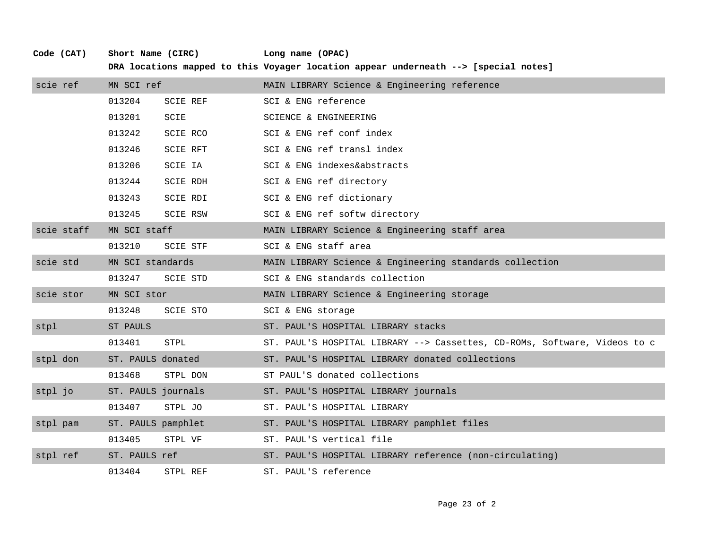| scie ref   | MN SCI ref         |                 | MAIN LIBRARY Science & Engineering reference                              |
|------------|--------------------|-----------------|---------------------------------------------------------------------------|
|            | 013204             | <b>SCIE REF</b> | SCI & ENG reference                                                       |
|            | 013201             | SCIE            | SCIENCE & ENGINEERING                                                     |
|            | 013242             | <b>SCIE RCO</b> | SCI & ENG ref conf index                                                  |
|            | 013246             | <b>SCIE RFT</b> | SCI & ENG ref transl index                                                |
|            | 013206             | SCIE IA         | SCI & ENG indexes&abstracts                                               |
|            | 013244             | <b>SCIE RDH</b> | SCI & ENG ref directory                                                   |
|            | 013243             | SCIE RDI        | SCI & ENG ref dictionary                                                  |
|            | 013245             | <b>SCIE RSW</b> | SCI & ENG ref softw directory                                             |
| scie staff | MN SCI staff       |                 | MAIN LIBRARY Science & Engineering staff area                             |
|            | 013210             | <b>SCIE STF</b> | SCI & ENG staff area                                                      |
| scie std   | MN SCI standards   |                 | MAIN LIBRARY Science & Engineering standards collection                   |
|            | 013247             | <b>SCIE STD</b> | SCI & ENG standards collection                                            |
| scie stor  | MN SCI stor        |                 | MAIN LIBRARY Science & Engineering storage                                |
|            | 013248             | <b>SCIE STO</b> | SCI & ENG storage                                                         |
| stpl       | ST PAULS           |                 | ST. PAUL'S HOSPITAL LIBRARY stacks                                        |
|            | 013401             | STPL            | ST. PAUL'S HOSPITAL LIBRARY --> Cassettes, CD-ROMs, Software, Videos to c |
| stpl don   | ST. PAULS donated  |                 | ST. PAUL'S HOSPITAL LIBRARY donated collections                           |
|            | 013468             | STPL DON        | ST PAUL'S donated collections                                             |
| stpl jo    | ST. PAULS journals |                 | ST. PAUL'S HOSPITAL LIBRARY journals                                      |
|            | 013407             | STPL JO         | ST. PAUL'S HOSPITAL LIBRARY                                               |
| stpl pam   | ST. PAULS pamphlet |                 | ST. PAUL'S HOSPITAL LIBRARY pamphlet files                                |
|            | 013405             | STPL VF         | ST. PAUL'S vertical file                                                  |
| stpl ref   | ST. PAULS ref      |                 | ST. PAUL'S HOSPITAL LIBRARY reference (non-circulating)                   |
|            | 013404             | STPL REF        | ST. PAUL'S reference                                                      |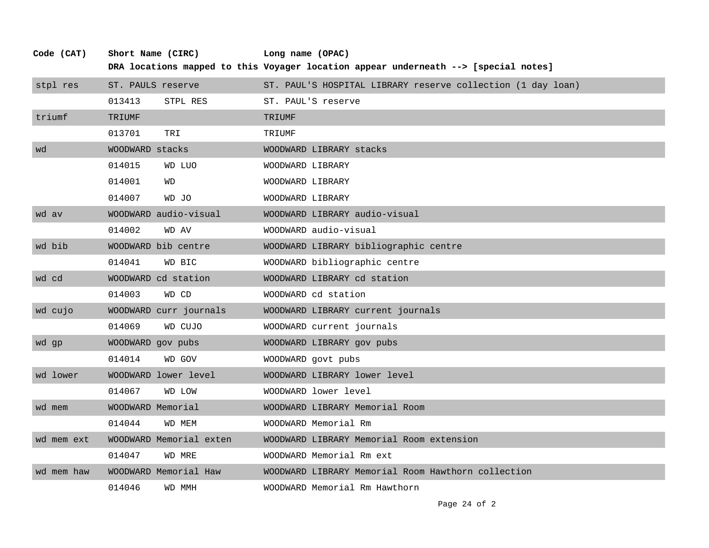| Code (CAT) | Short Name (CIRC) |                         | Long name (OPAC)                                                                    |  |
|------------|-------------------|-------------------------|-------------------------------------------------------------------------------------|--|
|            |                   |                         | DRA locations mapped to this Voyager location appear underneath --> [special notes] |  |
| stpl res   | ST. PAULS reserve |                         | ST. PAUL'S HOSPITAL LIBRARY reserve collection (1 day loan)                         |  |
|            | 013413            | STPL RES                | ST. PAUL'S reserve                                                                  |  |
| triumf     | TRIUMF            |                         | <b>TRIUMF</b>                                                                       |  |
|            | 013701            | TRI                     | TRIUMF                                                                              |  |
| wd         | WOODWARD stacks   |                         | WOODWARD LIBRARY stacks                                                             |  |
|            | 014015            | WD LUO                  | WOODWARD LIBRARY                                                                    |  |
|            | 014001            | WD                      | WOODWARD LIBRARY                                                                    |  |
|            | 014007            | WD JO                   | WOODWARD LIBRARY                                                                    |  |
| wd av      |                   | WOODWARD audio-visual   | WOODWARD LIBRARY audio-visual                                                       |  |
|            | 014002            | WD AV                   | WOODWARD audio-visual                                                               |  |
| wd bib     |                   | WOODWARD bib centre     | WOODWARD LIBRARY bibliographic centre                                               |  |
|            | 014041            | WD BIC                  | WOODWARD bibliographic centre                                                       |  |
| wd cd      |                   | WOODWARD cd station     | WOODWARD LIBRARY cd station                                                         |  |
|            | 014003            | WD CD                   | WOODWARD cd station                                                                 |  |
| wd cujo    |                   | WOODWARD curr journals  | WOODWARD LIBRARY current journals                                                   |  |
|            | 014069            | WD CUJO                 | WOODWARD current journals                                                           |  |
| wd gp      | WOODWARD gov pubs |                         | WOODWARD LIBRARY gov pubs                                                           |  |
|            | 014014            | WD GOV                  | WOODWARD govt pubs                                                                  |  |
| wd lower   |                   | WOODWARD lower level    | WOODWARD LIBRARY lower level                                                        |  |
|            | 014067            | <b>WD LOW</b>           | WOODWARD lower level                                                                |  |
| wd mem     | WOODWARD Memorial |                         | WOODWARD LIBRARY Memorial Room                                                      |  |
|            | 014044            | WD MEM                  | WOODWARD Memorial Rm                                                                |  |
| wd mem ext |                   | WOODWARD Memorial exten | WOODWARD LIBRARY Memorial Room extension                                            |  |
|            | 014047            | WD MRE                  | WOODWARD Memorial Rm ext                                                            |  |
| wd mem haw |                   | WOODWARD Memorial Haw   | WOODWARD LIBRARY Memorial Room Hawthorn collection                                  |  |
|            | 014046            | WD MMH                  | WOODWARD Memorial Rm Hawthorn                                                       |  |

Page 24 of 2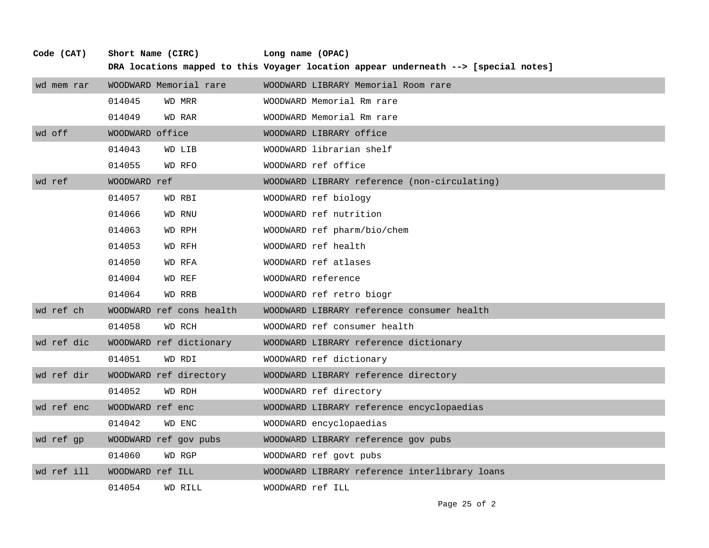| Code (CAT) | Short Name (CIRC) |                          | Long name (OPAC)<br>DRA locations mapped to this Voyager location appear underneath --> [special notes] |  |
|------------|-------------------|--------------------------|---------------------------------------------------------------------------------------------------------|--|
| wd mem rar |                   | WOODWARD Memorial rare   | WOODWARD LIBRARY Memorial Room rare                                                                     |  |
|            | 014045            | WD MRR                   | WOODWARD Memorial Rm rare                                                                               |  |
|            | 014049            | WD RAR                   | WOODWARD Memorial Rm rare                                                                               |  |
| wd off     | WOODWARD office   |                          | WOODWARD LIBRARY office                                                                                 |  |
|            | 014043            | WD LIB                   | WOODWARD librarian shelf                                                                                |  |
|            | 014055            | WD RFO                   | WOODWARD ref office                                                                                     |  |
| wd ref     | WOODWARD ref      |                          | WOODWARD LIBRARY reference (non-circulating)                                                            |  |
|            | 014057            | WD RBI                   | WOODWARD ref biology                                                                                    |  |
|            | 014066            | WD RNU                   | WOODWARD ref nutrition                                                                                  |  |
|            | 014063            | WD RPH                   | WOODWARD ref pharm/bio/chem                                                                             |  |
|            | 014053            | WD RFH                   | WOODWARD ref health                                                                                     |  |
|            | 014050            | WD RFA                   | WOODWARD ref atlases                                                                                    |  |
|            | 014004            | WD REF                   | WOODWARD reference                                                                                      |  |
|            | 014064            | WD RRB                   | WOODWARD ref retro biogr                                                                                |  |
| wd ref ch  |                   | WOODWARD ref cons health | WOODWARD LIBRARY reference consumer health                                                              |  |
|            | 014058            | WD RCH                   | WOODWARD ref consumer health                                                                            |  |
| wd ref dic |                   | WOODWARD ref dictionary  | WOODWARD LIBRARY reference dictionary                                                                   |  |
|            | 014051            | WD RDI                   | WOODWARD ref dictionary                                                                                 |  |
| wd ref dir |                   | WOODWARD ref directory   | WOODWARD LIBRARY reference directory                                                                    |  |
|            | 014052            | WD RDH                   | WOODWARD ref directory                                                                                  |  |
| wd ref enc | WOODWARD ref enc  |                          | WOODWARD LIBRARY reference encyclopaedias                                                               |  |
|            | 014042            | WD ENC                   | WOODWARD encyclopaedias                                                                                 |  |
| wd ref gp  |                   | WOODWARD ref gov pubs    | WOODWARD LIBRARY reference gov pubs                                                                     |  |
|            | 014060            | WD RGP                   | WOODWARD ref govt pubs                                                                                  |  |
| wd ref ill | WOODWARD ref ILL  |                          | WOODWARD LIBRARY reference interlibrary loans                                                           |  |
|            | 014054            | WD RILL                  | WOODWARD ref ILL                                                                                        |  |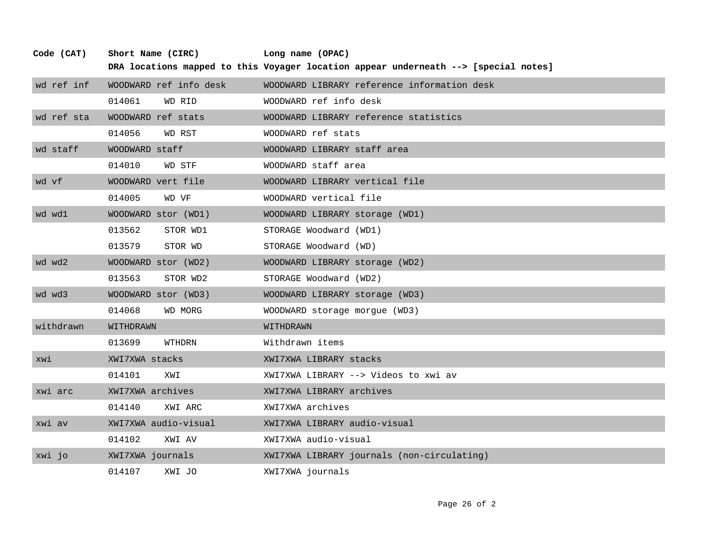| Code (CAT) | Short Name (CIRC)      | Long name (OPAC)                                                                    |
|------------|------------------------|-------------------------------------------------------------------------------------|
|            |                        | DRA locations mapped to this Voyager location appear underneath --> [special notes] |
| wd ref inf | WOODWARD ref info desk | WOODWARD LIBRARY reference information desk                                         |
|            | 014061<br>WD RID       | WOODWARD ref info desk                                                              |
| wd ref sta | WOODWARD ref stats     | WOODWARD LIBRARY reference statistics                                               |
|            | 014056<br>WD RST       | WOODWARD ref stats                                                                  |
| wd staff   | WOODWARD staff         | WOODWARD LIBRARY staff area                                                         |
|            | 014010<br>WD STF       | WOODWARD staff area                                                                 |
| wd vf      | WOODWARD vert file     | WOODWARD LIBRARY vertical file                                                      |
|            | 014005<br>WD VF        | WOODWARD vertical file                                                              |
| wd wd1     | WOODWARD stor (WD1)    | WOODWARD LIBRARY storage (WD1)                                                      |
|            | 013562<br>STOR WD1     | STORAGE Woodward (WD1)                                                              |
|            | 013579<br>STOR WD      | STORAGE Woodward (WD)                                                               |
| wd wd2     | WOODWARD stor (WD2)    | WOODWARD LIBRARY storage (WD2)                                                      |
|            | 013563<br>STOR WD2     | STORAGE Woodward (WD2)                                                              |
| wd wd3     | WOODWARD stor (WD3)    | WOODWARD LIBRARY storage (WD3)                                                      |
|            | 014068<br>WD MORG      | WOODWARD storage morque (WD3)                                                       |
| withdrawn  | WITHDRAWN              | WITHDRAWN                                                                           |
|            | 013699<br>WTHDRN       | Withdrawn items                                                                     |
| xwi        | XWI7XWA stacks         | XWI7XWA LIBRARY stacks                                                              |
|            | 014101<br>IWX          | XWI7XWA LIBRARY --> Videos to xwi av                                                |
| xwi arc    | XWI7XWA archives       | XWI7XWA LIBRARY archives                                                            |
|            | 014140<br>XWI ARC      | XWI7XWA archives                                                                    |
| xwi av     | XWI7XWA audio-visual   | XWI7XWA LIBRARY audio-visual                                                        |
|            | 014102<br>XWI AV       | XWI7XWA audio-visual                                                                |
| xwi jo     | XWI7XWA journals       | XWI7XWA LIBRARY journals (non-circulating)                                          |
|            | 014107<br>XWI JO       | XWI7XWA journals                                                                    |